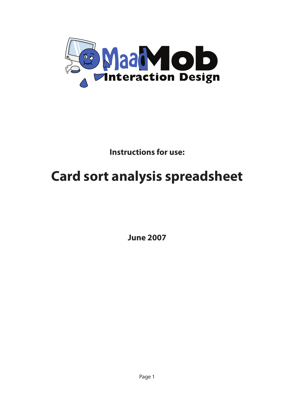

**Instructions for use:**

# **Card sort analysis spreadsheet**

**June 2007**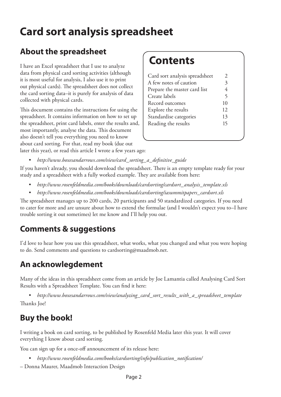## **Card sort analysis spreadsheet**

### **About the spreadsheet**

I have an Excel spreadsheet that I use to analyze data from physical card sorting activities (although it is most useful for analysis, I also use it to print out physical cards). The spreadsheet does not collect the card sorting data–it is purely for analysis of data collected with physical cards.

This document contains the instructions for using the spreadsheet. It contains information on how to set up the spreadsheet, print card labels, enter the results and, most importantly, analyse the data. This document also doesn't tell you everything you need to know about card sorting. For that, read my book (due out later this year), or read this article I wrote a few years ago:

### **Contents**

| Card sort analysis spreadsheet | 2  |
|--------------------------------|----|
| A few notes of caution         | 3  |
| Prepare the master card list   | 4  |
| Create labels                  | 5  |
| Record outcomes                | 10 |
| Explore the results            | 12 |
| Standardise categories         | 13 |
| Reading the results            | 15 |
|                                |    |
|                                |    |

*• http://www.boxesandarrows.com/view/card\_sorting\_a\_definitive\_guide*

If you haven't already, you should download the spreadsheet. There is an empty template ready for your study and a spreadsheet with a fully worked example. They are available from here:

- *http://www.rosenfeldmedia.com/books/downloads/cardsorting/cardsort\_analysis\_template.xls*
- *http://www.rosenfeldmedia.com/books/downloads/cardsorting/iasummitpapers\_cardsort.xls*

The spreadsheet manages up to 200 cards, 20 participants and 50 standardized categories. If you need to cater for more and are unsure about how to extend the formulae (and I wouldn't expect you to–I have trouble sorting it out sometimes) let me know and I'll help you out.

### **Comments & suggestions**

I'd love to hear how you use this spreadsheet, what works, what you changed and what you were hoping to do. Send comments and questions to cardsorting@maadmob.net.

### **An acknowlegdement**

Many of the ideas in this spreadsheet come from an article by Joe Lamantia called Analysing Card Sort Results with a Spreadsheet Template. You can find it here:

*• http://www.boxesandarrows.com/view/analyzing\_card\_sort\_results\_with\_a\_spreadsheet\_template* Thanks Joe!

### **Buy the book!**

I writing a book on card sorting, to be published by Rosenfeld Media later this year. It will cover everything I know about card sorting.

You can sign up for a once-off announcement of its release here:

- *http://www.rosenfeldmedia.com/books/cardsorting/info/publication\_notification/*
- Donna Maurer, Maadmob Interaction Design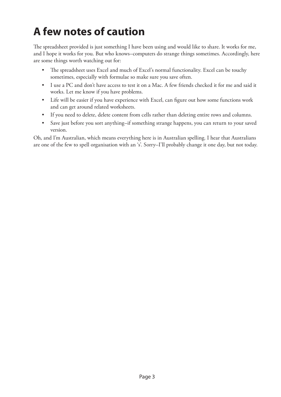## **A few notes of caution**

The spreadsheet provided is just something I have been using and would like to share. It works for me, and I hope it works for you. But who knows–computers do strange things sometimes. Accordingly, here are some things worth watching out for:

- The spreadsheet uses Excel and much of Excel's normal functionality. Excel can be touchy sometimes, especially with formulae so make sure you save often.
- I use a PC and don't have access to test it on a Mac. A few friends checked it for me and said it works. Let me know if you have problems.
- Life will be easier if you have experience with Excel, can figure out how some functions work and can get around related worksheets.
- If you need to delete, delete content from cells rather than deleting entire rows and columns.
- Save just before you sort anything–if something strange happens, you can return to your saved version.

Oh, and I'm Australian, which means everything here is in Australian spelling. I hear that Australians are one of the few to spell organisation with an 's'. Sorry–I'll probably change it one day, but not today.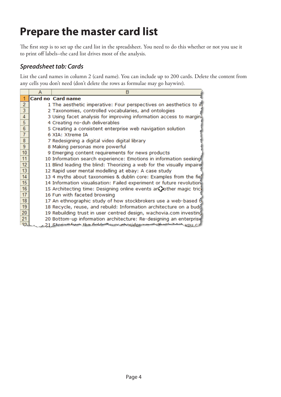## **Prepare the master card list**

The first step is to set up the card list in the spreadsheet. You need to do this whether or not you use it to print off labels–the card list drives most of the analysis.

#### *Spreadsheet tab: Cards*

List the card names in column 2 (card name). You can include up to 200 cards. Delete the content from any cells you don't need (don't delete the rows as formulae may go haywire).

|                 | А | в                                                                       |
|-----------------|---|-------------------------------------------------------------------------|
|                 |   | Card no Card name                                                       |
| $\overline{2}$  |   | 1 The aesthetic imperative: Four perspectives on aesthetics to in       |
| $\overline{3}$  |   | 2 Taxonomies, controlled vocabularies, and ontologies                   |
| $\overline{4}$  |   | 3 Using facet analysis for improving information access to margina      |
| $\overline{5}$  |   | 4 Creating no-duh deliverables                                          |
| $6\phantom{1}6$ |   | 5 Creating a consistent enterprise web navigation solution              |
| $\overline{7}$  |   | 6 XIA: Xtreme IA                                                        |
| 8               |   | 7 Redesigning a digital video digital library                           |
| 9               |   | 8 Making personas more powerful                                         |
| 10              |   | 9 Emerging content requirements for news products                       |
| 11              |   | 10 Information search experience: Emotions in information seeking       |
| 12              |   | 11 Blind leading the blind: Theorizing a web for the visually impaire   |
| 13              |   | 12 Rapid user mental modelling at ebay: A case study                    |
| 14              |   | 13 4 myths about taxonomies & dublin core: Examples from the fie        |
| 15              |   | 14 Information visualisation: Failed experiment or future revolution    |
| 16              |   | 15 Architecting time: Designing online events an pother magic tricl     |
| 17              |   | 16 Fun with faceted browsing                                            |
| 18              |   | 17 An ethnographic study of how stockbrokers use a web-based ty         |
| 19              |   | 18 Recycle, reuse, and rebuild: Information architecture on a budd      |
| 20              |   | 19 Rebuilding trust in user centred design, wachovia.com investing      |
| 21              |   | 20 Bottom-up information architecture: Re-designing an enterprise       |
| 22.             |   | 21 Steriom from the find with memory and concern in factor and velocity |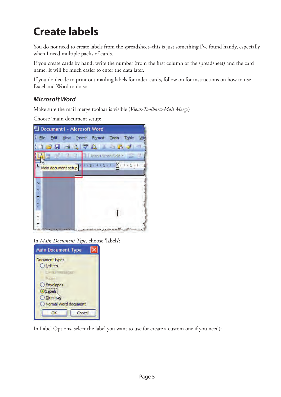## **Create labels**

You do not need to create labels from the spreadsheet-this is just something I've found handy, especially when I need multiple packs of cards.

If you create cards by hand, write the number (from the first column of the spreadsheet) and the card name. It will be much easier to enter the data later.

If you do decide to print out mailing labels for index cards, follow on for instructions on how to use Excel and Word to do so.

#### *Microsoft Word*

Make sure the mail merge toolbar is visible (*View>Toolbars>Mail Merge*)

Choose 'main document setup:



In *Main Document Type*, choose 'labels':



In Label Options, select the label you want to use (or create a custom one if you need):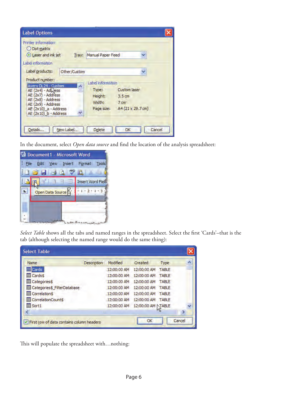| <b>Label Options</b>                                                                                                                                                         |                                                                                                                    |
|------------------------------------------------------------------------------------------------------------------------------------------------------------------------------|--------------------------------------------------------------------------------------------------------------------|
| Printer information<br>O Dot matrix<br>Laser and ink jet<br>Tray:<br>Label information                                                                                       | Manual Paper Feed                                                                                                  |
| Label products:<br>Other/Custom<br>Product number:                                                                                                                           | Label information                                                                                                  |
| Avery DL24 - Custom<br>٨<br>$AE (2x4) - Adx$ ess<br>AE (2x7) - Address<br>AE (2x8) - Address<br>AE (2x9) - Address<br>$AE$ (2x10) $a - Address$<br>$AE$ (2x10) $b - Address$ | Custom laser<br>Type:<br>Height:<br>$3.5 \text{ cm}$<br>Width:<br>$7 \, \text{cm}$<br>Page size: A4 (21 x 29.7 cm) |
| New Label<br>Details                                                                                                                                                         | Cancel<br><b>Delete</b><br>ОК                                                                                      |

In the document, select *Open data source* and find the location of the analysis spreadsheet:



*Select Table* shows all the tabs and named ranges in the spreadsheet. Select the first 'Cards'–that is the tab (although selecting the named range would do the same thing):

| Name                                  | Description    | Modified    | Created            | Type         |  |
|---------------------------------------|----------------|-------------|--------------------|--------------|--|
| <b>囲</b> Cards                        |                | 12:00:00 AM | 12:00:00 AM        | <b>TABLE</b> |  |
| <b>ED</b> Cards\$                     |                | 12:00:00 AM | 12:00:00 AM        | TABLE        |  |
| <b>ED</b> Categories\$                |                | 12:00:00 AM | 12:00:00 AM        | <b>TABLE</b> |  |
| <b>ED</b> Categories's FilterDatabase |                | 12:00:00 AM | 12:00:00 AM TABLE  |              |  |
| Correlation <sub>S</sub>              |                | 12:00:00 AM | 12:00:00 AM        | <b>TABLE</b> |  |
| <b>ED</b> CorrelationCounts           |                | 12:00:00 AM | 12:00:00 AM TABLE  |              |  |
| Sort1                                 |                | 12:00:00 AM | 12:00:00 AM NTABLE |              |  |
|                                       | $\mathbf{III}$ |             |                    |              |  |

This will populate the spreadsheet with…nothing: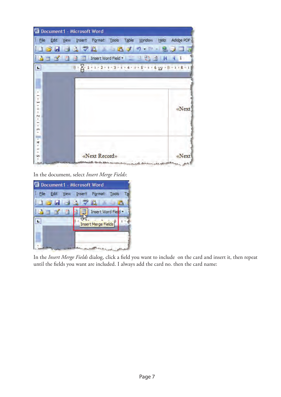| Document1 - Microsoft Word |                                                           |            |  |  |
|----------------------------|-----------------------------------------------------------|------------|--|--|
| $E =$                      | Edit View Insert Format Tools Table Window Help Adobe PDF |            |  |  |
|                            | 16884421 4874-8755                                        |            |  |  |
|                            | id m m'i i i d d insert Word Field •   _ 1 % 0   N        | $\sqrt{1}$ |  |  |
| <b>I</b>                   | 単: X: 1:1:2:1:3:1:4:1:5:1:6 W : # -1:8:1                  |            |  |  |
|                            |                                                           |            |  |  |
|                            |                                                           |            |  |  |
|                            |                                                           |            |  |  |
|                            |                                                           |            |  |  |
|                            |                                                           | «Next)     |  |  |
| 20011                      |                                                           |            |  |  |
|                            |                                                           |            |  |  |
| ņ                          |                                                           |            |  |  |
|                            |                                                           |            |  |  |
| $+44$                      |                                                           |            |  |  |
|                            |                                                           |            |  |  |
| $\overline{10}$            | «Next Record»                                             | «Next      |  |  |

In the document, select *Insert Merge Fields*:

|             | : File Edit View Insert Format Tools |
|-------------|--------------------------------------|
| 1035340921  |                                      |
| i La<br>画区目 | Insert Word Field .<br>E1            |
|             | Insert Merge Fields                  |
|             |                                      |

In the *Insert Merge Fields* dialog, click a field you want to include on the card and insert it, then repeat until the fields you want are included. I always add the card no. then the card name: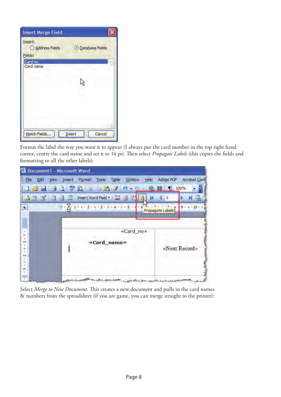| <b>Insert Merge Field</b>            |                   |
|--------------------------------------|-------------------|
| Insert:<br>Address Fields<br>Fields: | O Database Fields |
| Card no<br>Card name                 |                   |
|                                      |                   |
| Match Fields                         | Insert<br>Cancel  |

Format the label the way you want it to appear (I always put the card number in the top right hand corner, centre the card name and set it to 14 pt). Then select *Propagate Labels* (this copies the fields and formatting to all the other labels):

| Document1 - Microsoft Word |                                                                                                                                                                                                                                                                           |                                                                                           |
|----------------------------|---------------------------------------------------------------------------------------------------------------------------------------------------------------------------------------------------------------------------------------------------------------------------|-------------------------------------------------------------------------------------------|
| $\vdots$ File              | Edit View Insert Format Tools Table Window Help Adobe PDF Acrobat Com                                                                                                                                                                                                     |                                                                                           |
|                            | 30 V 21 - B y                                                                                                                                                                                                                                                             | $\bullet$ $\blacksquare$ $\blacksquare$ $\blacksquare$ $\blacksquare$ $\blacksquare$ 100% |
| E LA                       | ■ ■ ■ ■ ■ Insert Word Field ★   ‰ ■ ■                                                                                                                                                                                                                                     | $\left(1\right)$<br>小                                                                     |
| <b>R</b>                   | $\frac{1}{2}$ $\frac{1}{2}$ $\frac{1}{2}$ $\frac{1}{2}$ $\frac{1}{2}$ $\frac{1}{2}$ $\frac{1}{2}$ $\frac{1}{2}$ $\frac{1}{2}$ $\frac{1}{2}$ $\frac{1}{2}$ $\frac{1}{2}$ $\frac{1}{2}$ $\frac{1}{2}$ $\frac{1}{2}$ $\frac{1}{2}$ $\frac{1}{2}$ $\frac{1}{2}$ $\frac{1}{2}$ | 9.110.1<br>Propagate Labels                                                               |
|                            |                                                                                                                                                                                                                                                                           |                                                                                           |
|                            |                                                                                                                                                                                                                                                                           |                                                                                           |
|                            | «Card_no»                                                                                                                                                                                                                                                                 |                                                                                           |
|                            | «Card_name»                                                                                                                                                                                                                                                               |                                                                                           |
| $\sim$                     |                                                                                                                                                                                                                                                                           | «Next Record»                                                                             |
|                            |                                                                                                                                                                                                                                                                           |                                                                                           |
| m                          |                                                                                                                                                                                                                                                                           |                                                                                           |
|                            |                                                                                                                                                                                                                                                                           |                                                                                           |

Select *Merge to New Document*. This creates a new document and pulls in the card names & numbers from the spreadsheet (if you are game, you can merge straight to the printer):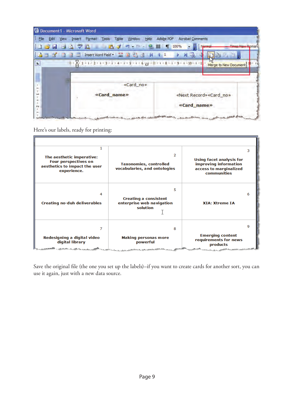| Document1 - Microsoft Word    |                                                                                          |                                            |
|-------------------------------|------------------------------------------------------------------------------------------|--------------------------------------------|
| $\vdots$ File<br>Edit<br>View | Insert Format Tools Table<br>Window                                                      | Help Adobe PDF<br><b>Acrobat Comments</b>  |
|                               | 103530921 587<br>$19.11 - 2.11$                                                          | : Normal<br><b>Times New Roman</b><br>100% |
| 自自言<br>E LA<br>画<br>R         |                                                                                          | $AB - B$<br>$\sim$ 1                       |
| L.                            | $+ 8.1 + 1 + 2 + 1 + 3 + 1 + 4 + 1 + 5 + 1 + 6$ 2 $+ 3 + 1 + 8 + 1 + 9 + 1 + 10 + 1 + 1$ | Merge to New Document                      |
|                               |                                                                                          |                                            |
|                               |                                                                                          |                                            |
|                               | «Card_no»                                                                                |                                            |
|                               | «Card_name»                                                                              | «Next Record» «Card_no»                    |
| N                             |                                                                                          | «Card_name»                                |
|                               |                                                                                          |                                            |

Here's our labels, ready for printing:

| 1<br>The aesthetic imperative:<br>Four perspectives on<br>aesthetics to impact the user<br>experience.           | 2<br><b>Taxonomies, controlled</b><br>vocabularies, and ontologies         | з<br>Using facet analysis for<br>improving information<br>access to marginalized<br>communities                         |
|------------------------------------------------------------------------------------------------------------------|----------------------------------------------------------------------------|-------------------------------------------------------------------------------------------------------------------------|
| 4<br>Creating no-duh deliverables                                                                                | 5<br><b>Creating a consistent</b><br>enterprise web navigation<br>solution | 6<br><b>XIA: Xtreme IA</b>                                                                                              |
| 7<br>Redesigning a digital video<br>digital library<br>بالمتحمد والمصرور والمستحقق والمستحصل والمستحمل والمتعاطف | 8<br>Making personas more<br>powerful                                      | 9<br><b>Emerging content</b><br>requirements for news<br>products<br>the form of the company of the form of the company |

Save the original file (the one you set up the labels)–if you want to create cards for another sort, you can use it again, just with a new data source.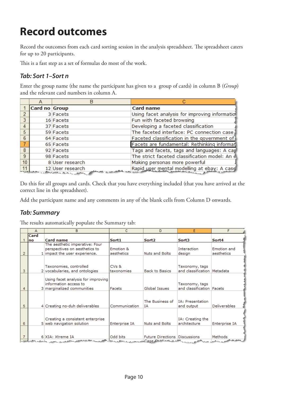## **Record outcomes**

Record the outcomes from each card sorting session in the analysis spreadsheet. The spreadsheet caters for up to 20 participants.

This is a fast step as a set of formulas do most of the work.

#### *Tab: Sort 1–Sort n*

Enter the group name (the name the participant has given to a group of cards) in column B (*Group*) and the relevant card numbers in column A.

|    |                      | B                                                          |                                                |
|----|----------------------|------------------------------------------------------------|------------------------------------------------|
|    | <b>Card no Group</b> |                                                            | <b>Card name</b>                               |
|    |                      | 3 Facets                                                   | Using facet analysis for improving information |
|    |                      | 16 Facets                                                  | Fun with faceted browsing                      |
|    |                      | 37 Facets                                                  | Developing a faceted classification            |
| 5  |                      | 59 Facets                                                  | The faceted interface: PC connection case      |
| 6  |                      | 64 Facets                                                  | Faceted classification in the government of    |
|    |                      | 65 Facets                                                  | Facets are fundamental: Rethinking informat    |
| -8 |                      | 92 Facets                                                  | Tags and facets, tags and languages: A cas     |
| 9  |                      | 98 Facets                                                  | The strict faceted classification model: An e  |
| 10 |                      | 8 User research                                            | Making personas more powerful                  |
| 11 |                      | 12 User research<br><u>beyook and a short was a series</u> | Rapid user mental modelling at ebay: A case    |

Do this for all groups and cards. Check that you have everything included (that you have arrived at the correct line in the spreadsheet).

Add the participant name and any comments in any of the blank cells from Column D onwards.

#### *Tab: Summary*

The results automatically populate the Summary tab:

|                | А    | B                                                                                         |                     | D                                    | E                                             |                                                      |
|----------------|------|-------------------------------------------------------------------------------------------|---------------------|--------------------------------------|-----------------------------------------------|------------------------------------------------------|
|                | Card |                                                                                           |                     |                                      |                                               |                                                      |
|                | Ino  | Card name                                                                                 | Sort1               | Sort <sub>2</sub>                    | Sort3                                         | Sort4                                                |
|                |      | The aesthetic imperative: Four                                                            |                     |                                      |                                               |                                                      |
|                |      | perspectives on aesthetics to                                                             | Emotion &           |                                      | Interaction                                   | Emotion and                                          |
| $\overline{2}$ |      | 1 impact the user experience.                                                             | aesthetics          | <b>Nuts and Bolts</b>                | design                                        | aesthetics                                           |
| 3              |      | Taxonomies, controlled<br>2 vocabularies, and ontologies                                  | CVs &<br>taxonomies | <b>Back to Basics</b>                | Taxonomy, tags<br>and classification Metadata |                                                      |
|                |      | Using facet analysis for improving<br>information access to<br>3 marginalized communities | Facets              | Global Issues                        | Taxonomy, tags<br>and classification Facets   |                                                      |
| 5              |      | 4 Creating no-duh deliverables                                                            | Communication       | The Business of<br>ΙA                | IA: Presentation<br>and output                | <b>Deliverables</b>                                  |
| 6              |      | Creating a consistent enterprise<br>5 web navigation solution                             | Enterprise IA       | Nuts and Bolts                       | IA: Creating the<br>architecture              | Enterprise IA                                        |
|                |      | 6 XIA: Xtreme IA<br>والمستلفية ووهال والمراب والمحارب والمعارفة والمتحدث والمستحدث        | Odd bits            | <b>Future Directions Discussions</b> |                                               | Methods<br>بمقتصب والتعرين<br><b>CALL CONTRACTOR</b> |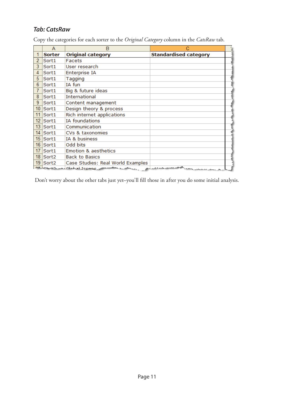#### *Tab: CatsRaw*

|  | Copy the categories for each sorter to the Original Category column in the CatsRaw tab. |
|--|-----------------------------------------------------------------------------------------|
|--|-----------------------------------------------------------------------------------------|

|                  | А                 | B                                                                                             |                              |  |
|------------------|-------------------|-----------------------------------------------------------------------------------------------|------------------------------|--|
|                  | <b>Sorter</b>     | <b>Original category</b>                                                                      | <b>Standardised category</b> |  |
| $\overline{2}$   | Sort1             | Facets                                                                                        |                              |  |
| 3                | Sort1             | User research                                                                                 |                              |  |
| 4                | Sort1             | Enterprise IA                                                                                 |                              |  |
| 5                | Sort1             | Tagging                                                                                       |                              |  |
| 6                | Sort1             | IA fun                                                                                        |                              |  |
|                  | Sort1             | Big & future ideas                                                                            |                              |  |
| 8                | Sort1             | <b>International</b>                                                                          |                              |  |
| 9.               | Sort1             | Content management                                                                            |                              |  |
| 10 <sup>°</sup>  | Sort1             | Design theory & process                                                                       |                              |  |
| 11               | Sort1             | Rich internet applications                                                                    |                              |  |
| 12 <sup>2</sup>  | Sort1             | IA foundations                                                                                |                              |  |
| 13 <sup>13</sup> | Sort1             | Communication                                                                                 |                              |  |
| 14               | Sort1             | CVs & taxonomies                                                                              |                              |  |
| 15 <sup>15</sup> | Sort1             | IA & business                                                                                 |                              |  |
| 16               | Sort1             | Odd bits                                                                                      |                              |  |
| 17               | Sort1             | <b>Emotion &amp; aesthetics</b>                                                               |                              |  |
| 18               | Sort <sub>2</sub> | <b>Back to Basics</b>                                                                         |                              |  |
|                  | $19$ Sort2        | Case Studies: Real World Examples                                                             |                              |  |
|                  |                   | <u>AA Johnson in de bal Joomag, cementer is a minus, and issues essent than survey and in</u> |                              |  |

Don't worry about the other tabs just yet–you'll fill those in after you do some initial analysis.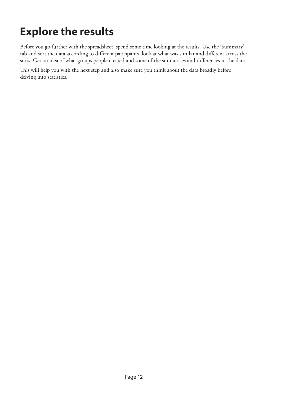## **Explore the results**

Before you go further with the spreadsheet, spend some time looking at the results. Use the 'Summary' tab and sort the data according to different paticipants–look at what was similar and different across the sorts. Get an idea of what groups people created and some of the similarities and differences in the data.

This will help you with the next step and also make sure you think about the data broadly before delving into statistics.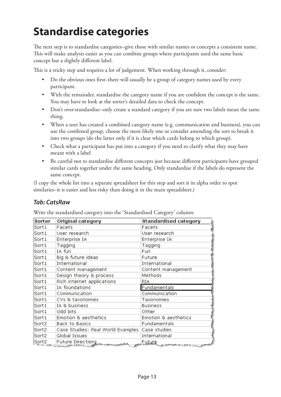## **Standardise categories**

The next step is to standardise categories–give those with similar names or concepts a consistent name. This will make analysis easier as you can combine groups where participants used the same basic concept but a slightly different label.

This is a tricky step and requires a lot of judgement. When working through it, consider:

- Do the obvious ones first–there will usually be a group of category names used by every participant.
- With the remainder, standardise the category name if you are confident the concept is the same. You may have to look at the sorter's detailed data to check the concept.
- Don't over-standardise–only create a standard category if you are sure two labels mean the same thing.
- When a user has created a combined category name (e.g. communication and business), you can use the combined group, choose the most likely one or consider amending the sort to break it into two groups (do the latter only if it is clear which cards belong to which group).
- Check what a participant has put into a category if you need to clarify what they may have meant with a label
- Be careful not to standardise different concepts just because different participants have grouped similar cards together under the same heading. Only standardise if the labels do represent the same concept.

(I copy the whole list into a separate spreadsheet for this step and sort it in alpha order to spot similaries–it is easier and less risky than doing it in the main spreadsheet.)

#### *Tab: CatsRaw*

Write the standardised category into the 'Standardised Category' column:

| Sorter | Original category                 | <b>Standardised category</b>              |
|--------|-----------------------------------|-------------------------------------------|
| Sort1  | Facets                            | Facets                                    |
| Sort1  | User research                     | User research                             |
| Sort1  | Enterprise IA                     | Enterprise IA                             |
| Sort1  | Tagging                           | Tagging                                   |
| Sort1  | IA fun                            | Fun.                                      |
| Sort1  | Big & future ideas                | Future                                    |
| Sort1  | International                     | International                             |
| Sort1  | Content management                | Content management                        |
| Sort1  | Design theory & process           | Methods                                   |
| Sort1  | Rich internet applications        | RIA.                                      |
| Sort1  | IA foundations                    | Fundamentals                              |
| Sort1  | Communication                     | Communication                             |
| Sort1  | CVs & taxonomies                  | Taxonomies                                |
| Sort1  | IA & business                     | <b>Business</b>                           |
| Sort1  | Odd bits                          | Other                                     |
| Sort1  | Emotion & aesthetics              | Emotion & aesthetics                      |
| Sort2  | Back to Basics                    | Fundamentals                              |
| Sort2  | Case Studies: Real World Examples | Case studies                              |
| Sort2  | Global Issues                     | International                             |
| Sort2  | Future Directions                 | <u>Future</u><br>a control of the company |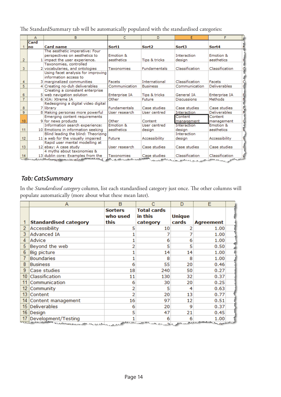The StandardSummary tab will be automatically populated with the standardised categories:

|                | А    | B                                                                                                                                                         | c                   | D.                  | E                  | F                    |
|----------------|------|-----------------------------------------------------------------------------------------------------------------------------------------------------------|---------------------|---------------------|--------------------|----------------------|
|                | Card |                                                                                                                                                           |                     |                     |                    |                      |
|                | no   | Card name                                                                                                                                                 | Sort1               | Sort <sub>2</sub>   | Sort3              | Sort4                |
|                |      | The aesthetic imperative: Four                                                                                                                            |                     |                     |                    |                      |
|                |      | perspectives on aesthetics to                                                                                                                             | Emotion &           |                     | Interaction        | Emotion &            |
| $\overline{2}$ |      | 1 impact the user experience.                                                                                                                             | aesthetics          | Tips & tricks       | design             | aesthetics           |
|                |      | Taxonomies, controlled                                                                                                                                    |                     |                     |                    |                      |
| 3              |      | 2 vocabularies, and ontologies                                                                                                                            | Taxonomies          | <b>Fundamentals</b> | Classification     | Classification       |
|                |      | Using facet analysis for improving                                                                                                                        |                     |                     |                    |                      |
|                |      | information access to                                                                                                                                     |                     |                     |                    |                      |
| 4              |      | 3 marginalized communities                                                                                                                                | Facets              | International       | Classification     | Facets               |
| 5              |      | 4 Creating no-duh deliverables                                                                                                                            | Communication       | <b>Business</b>     | Communication      | <b>Deliverables</b>  |
|                |      | Creating a consistent enterprise                                                                                                                          |                     |                     |                    |                      |
| 6              |      | 5 web navigation solution                                                                                                                                 | Enterprise IA       | Tips & tricks       | General IA         | Enterprise IA        |
| $\overline{7}$ |      | 6 XIA: Xtreme IA                                                                                                                                          | Other               | Future              | <b>Discussions</b> | Methods              |
|                |      | Redesigning a digital video digital                                                                                                                       |                     |                     |                    |                      |
| 8              |      | 7 library                                                                                                                                                 | <b>Fundamentals</b> | Case studies        | Case studies       | Case studies         |
| 9              |      | 8 Making personas more powerful                                                                                                                           | User research       | User centred        | Interaction        | <b>Deliverables</b>  |
|                |      | Emerging content requirements                                                                                                                             |                     |                     | Content            | Content              |
| 10             |      | 9 for news products                                                                                                                                       | Other               | Content             | management         | Imanagement          |
|                |      | Information search experience:                                                                                                                            | Emotion &           | User centred        | Interaction        | <b>Emotion &amp;</b> |
| 11             |      | 10 Emotions in information seeking                                                                                                                        | aesthetics          | design              | design             | aesthetics           |
|                |      | Blind leading the blind: Theorizing                                                                                                                       |                     |                     | Interaction        |                      |
| 12             |      | 11 a web for the visually impaired                                                                                                                        | Future              | Accessibility       | design             | Accessibility        |
|                |      | Rapid user mental modelling at                                                                                                                            |                     |                     |                    |                      |
| 13             |      | 12 ebay: A case study                                                                                                                                     | User research       | Case studies        | Case studies       | Case studies         |
|                |      | 4 myths about taxonomies &                                                                                                                                |                     |                     |                    |                      |
| 14             |      | 13 dublin core: Examples from the<br><u>welessed so drafsaggables depalities de la dramatique de seu seconde de la de la de seu de la de la de la deu</u> | Taxonomies          | Case studies        | Classification     | Classification       |

#### *Tab: CatsSummary*

In the *Standardised category* column, list each standardised category just once. The other columns will populate automatically (more about what these mean later).

|                | Α                            | B              |                                                   | D             | E                               |  |
|----------------|------------------------------|----------------|---------------------------------------------------|---------------|---------------------------------|--|
|                |                              | <b>Sorters</b> | <b>Total cards</b>                                |               |                                 |  |
|                |                              | who used       | in this                                           | <b>Unique</b> |                                 |  |
|                | <b>Standardised category</b> | this           | category                                          | cards         | Agreement                       |  |
| $\overline{2}$ | Accessibility                | 5              | 10                                                |               | 1.00                            |  |
| 3              | Advanced IA                  |                |                                                   |               | 1.00                            |  |
| 4              | Advice                       |                | 6                                                 | 6             | 1.00                            |  |
| 5              | Beyond the web               |                |                                                   | 5             | 0.50                            |  |
| 6              | <b>Big picture</b>           |                | 14                                                | 14            | 1.00                            |  |
|                | <b>Boundaries</b>            |                | 8                                                 | 8             | 1.00                            |  |
| 8              | <b>Business</b>              | 6              | 55                                                | 20            | 0.46                            |  |
| 9              | Case studies                 | 18             | 240                                               | 50            | 0.27                            |  |
| 10             | Classification               | 11             | 130                                               | 32            | 0.37                            |  |
| 11             | Communication                | 6              | 30                                                | 20            | 0.25                            |  |
| 12             | Community                    |                | 5                                                 | 4             | 0.63                            |  |
| 13             | Content                      | 2              | 20                                                | 13            | 0.77                            |  |
| 14             | Content management           | 16             | 97                                                | 12            | 0.51                            |  |
| 15             | <b>Deliverables</b>          | 6              | 20                                                | 9             | 0.37                            |  |
| 16             | Design                       | 5              | 47                                                | 21            | 0.45                            |  |
|                | 17 Development/Testing       |                | 6                                                 |               | 1.00                            |  |
|                |                              | بمداءهم        | المتناقص<br>and the second second<br><b>COLLA</b> |               | <u>an a</u> ndreamhan a caladai |  |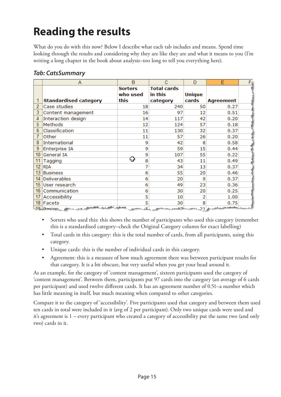### **Reading the results**

What do you do with this now? Below I describe what each tab includes and means. Spend time looking through the results and considering why they are like they are and what it means to you (I'm writing a long chapter in the book about analysis–too long to tell you everything here).

#### *Tab: CatsSummary*

|                 | Α                              | B                 | C                  | D             | E                                                | Fi |
|-----------------|--------------------------------|-------------------|--------------------|---------------|--------------------------------------------------|----|
|                 |                                | <b>Sorters</b>    | <b>Total cards</b> |               |                                                  |    |
|                 |                                | who used          | in this            | <b>Unique</b> |                                                  |    |
|                 | <b>Standardised category</b>   | this              | category           | cards         | <b>Agreement</b>                                 |    |
| $\overline{2}$  | Case studies                   | 18                | 240                | 50            | 0.27                                             |    |
| 3               | Content management             | 16                | 97                 | 12            | 0.51                                             |    |
| 4               | Interaction design             | 14                | 117                | 42            | 0.20                                             |    |
| 5               | Methods                        | 12                | 124                | 57            | 0.18                                             |    |
| 6               | Classification                 | 11                | 130                | 32            | 0.37                                             |    |
|                 | Other                          | 11                | 57                 | 26            | 0.20                                             |    |
| 8               | International                  | 9                 | 42                 | 8             | 0.58                                             |    |
| 9               | Enterprise IA                  | 9                 | 59                 | 15            | 0.44                                             |    |
| 10 <sup>1</sup> | <b>General IA</b>              | 9                 | 107                | 55            | 0.22                                             |    |
| 11              | Tagging                        | ≎<br>8            | 43                 | 11            | 0.49                                             |    |
| 12              | <b>RIA</b>                     | 7                 | 34                 | 13            | 0.37                                             |    |
| 13              | <b>Business</b>                | 6                 | 55                 | 20            | 0.46                                             |    |
| 14              | <b>Deliverables</b>            | 6                 | 20                 | 9             | 0.37                                             |    |
| 15              | User research                  | 6                 | 49                 | 23            | 0.36                                             |    |
| 16              | Communication                  | 6                 | 30                 | 20            | 0.25                                             |    |
| 17              | Accessibility                  | 5                 | 10                 |               | 1.00                                             |    |
| 18 <sup>°</sup> | Facets                         | 5                 | 30                 | 8             | 0.75                                             |    |
|                 | 19 Region for un environmental | بالتقاما بالمصطبح |                    |               | المصابحين والمسترجل والمتحرب والمستريث والمستحير |    |

- Sorters who used this: this shows the number of participants who used this category (remember this is a standardised category–check the Original Category column for exact labelling)
- Total cards in this category: this is the total number of cards, from all participants, using this category.
- Unique cards: this is the number of individual cards in this category. •
- Agreement: this is a measure of how much agreement there was between participant results for •that category. It is a bit obscure, but very useful when you get your head around it.

As an example, for the category of 'content management', sixteen participants used the category of 'content management'. Between them, participants put 97 cards into the category (an average of 6 cards per participant) and used twelve different cards. It has an agreement number of 0.51–a number which has little meaning in itself, but much meaning when compared to other categories.

Compare it to the category of 'accessibility'. Five participants used that category and between them used ten cards in total were included in it (avg of 2 per participant). Only two unique cards were used and it's agreement is 1 – every participant who created a category of accessibility put the same two (and only two) cards in it.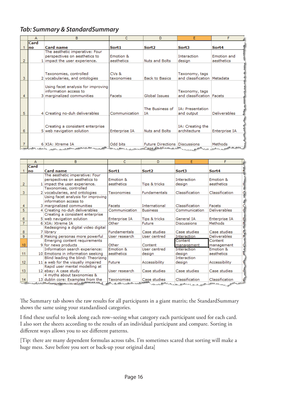#### *Tab: Summary & StandardSummary*

|                | А    | B                                                                                                                             | c                   | D                             | E                                               |                                |
|----------------|------|-------------------------------------------------------------------------------------------------------------------------------|---------------------|-------------------------------|-------------------------------------------------|--------------------------------|
|                | Card |                                                                                                                               |                     |                               |                                                 |                                |
|                | no   | <b>Card name</b>                                                                                                              | Sort1               | Sort2                         | Sort3                                           | Sort4                          |
|                |      | The aesthetic imperative: Four                                                                                                |                     |                               |                                                 |                                |
|                |      | perspectives on aesthetics to                                                                                                 | Emotion &           |                               | Interaction                                     | Emotion and                    |
| $\overline{2}$ |      | 1 impact the user experience.                                                                                                 | aesthetics          | Nuts and Bolts                | design                                          | aesthetics                     |
| 3              |      | Taxonomies, controlled<br>2 vocabularies, and ontologies                                                                      | CVs &<br>taxonomies | <b>Back to Basics</b>         | Taxonomy, tags<br>and classification   Metadata |                                |
|                |      | Using facet analysis for improving<br>information access to<br>3 marginalized communities                                     | Facets              | Global Issues                 | Taxonomy, tags<br>and classification   Facets   |                                |
| 5              |      | 4 Creating no-duh deliverables                                                                                                | Communication       | The Business of<br>IΑ         | <b>IA: Presentation</b><br>and output           | <b>Deliverables</b>            |
| 6              |      | Creating a consistent enterprise<br>5 web navigation solution                                                                 | Enterprise IA       | <b>Nuts and Bolts</b>         | IA: Creating the<br>architecture                | Enterprise IA                  |
|                |      | 6 XIA: Xtreme IA<br>لتصر مصائبه <sub>محتصر مورد مصر مصرف المستحدث المحارب محمول والمستحل المن المستحدث المسرور والمحارب</sub> | Odd bits            | Future Directions Discussions |                                                 | Methods<br>And And And Address |

|                | А    | B                                                                                    | c                   | D                                                                                                                               | E                  | F                           |
|----------------|------|--------------------------------------------------------------------------------------|---------------------|---------------------------------------------------------------------------------------------------------------------------------|--------------------|-----------------------------|
|                | Card |                                                                                      |                     |                                                                                                                                 |                    |                             |
|                | no   | Card name                                                                            | Sort1               | Sort <sub>2</sub>                                                                                                               | Sort3              | Sort4                       |
|                |      | The aesthetic imperative: Four                                                       |                     |                                                                                                                                 |                    |                             |
|                |      | perspectives on aesthetics to                                                        | Emotion &           |                                                                                                                                 | Interaction        | Emotion &                   |
| 2              |      | 1 impact the user experience.                                                        | aesthetics          | Tips & tricks                                                                                                                   | design             | aesthetics                  |
|                |      | Taxonomies, controlled                                                               |                     |                                                                                                                                 |                    |                             |
| 3              |      | 2 vocabularies, and ontologies                                                       | Taxonomies          | <b>Fundamentals</b>                                                                                                             | Classification     | Classification              |
|                |      | Using facet analysis for improving                                                   |                     |                                                                                                                                 |                    |                             |
|                |      | information access to                                                                |                     |                                                                                                                                 |                    |                             |
|                |      | 3 marginalized communities                                                           | Facets              | International                                                                                                                   | Classification     | Facets                      |
| $\overline{5}$ |      | 4 Creating no-duh deliverables                                                       | Communication       | <b>Business</b>                                                                                                                 | Communication      | <b>Deliverables</b>         |
|                |      | Creating a consistent enterprise                                                     |                     |                                                                                                                                 |                    |                             |
| 6              |      | 5 web navigation solution                                                            | Enterprise IA       | Tips & tricks                                                                                                                   | General IA         | Ę<br>Enterprise IA          |
|                |      | 6 XIA: Xtreme IA                                                                     | Other               | Future                                                                                                                          | <b>Discussions</b> | Methods                     |
|                |      | Redesigning a digital video digital                                                  |                     |                                                                                                                                 |                    |                             |
| 8              |      | 7 library                                                                            | <b>Fundamentals</b> | Case studies                                                                                                                    | Case studies       | Case studies                |
| 9              |      | 8 Making personas more powerful                                                      | User research       | User centred                                                                                                                    | Interaction        | Deliverables                |
|                |      | Emerging content requirements                                                        |                     |                                                                                                                                 | Content            | Content                     |
| 10             |      | 9 for news products                                                                  | Other               | Content                                                                                                                         | management         | management                  |
|                |      | Information search experience:                                                       | Emotion &           | User centred                                                                                                                    | <b>Interaction</b> | Emotion &                   |
| 11             |      | 10 Emotions in information seeking                                                   | aesthetics          | design                                                                                                                          | design             | aesthetics                  |
|                |      | Blind leading the blind: Theorizing                                                  |                     |                                                                                                                                 | Interaction        |                             |
| 12             |      | 11 a web for the visually impaired                                                   | Future              | Accessibility                                                                                                                   | design             | Accessibility               |
|                |      | Rapid user mental modelling at                                                       |                     |                                                                                                                                 |                    |                             |
| 13             |      | 12 ebay: A case study                                                                | User research       | Case studies                                                                                                                    | Case studies       | Case studies                |
|                |      | 4 myths about taxonomies &                                                           |                     |                                                                                                                                 |                    |                             |
| 14             |      | 13 dublin core: Examples from the<br>website the frequency is plant that the website | Taxonomies          | Case studies<br>ال المرار التي المستخدم التي يستخدم إلى المستخدم المستخدم المستخدم المستخدم المستخدم المستخدم المستخدم المستخدم | Classification     | Classification<br>المحافظين |

The Summary tab shows the raw results for all participants in a giant matrix; the StandardSummary shows the same using your standardised categories.

I find these useful to look along each row–seeing what category each participant used for each card. I also sort the sheets according to the results of an individual participant and compare. Sorting in different ways allows you to see different patterns.

[Tip: there are many dependent formulas across tabs. I'm sometimes scared that sorting will make a huge mess. Save before you sort or back-up your original data]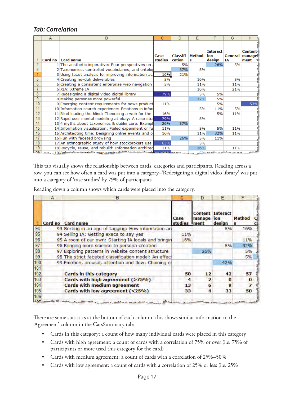#### *Tab: Correlation*

|           | A | B                                                                    | C       | D        | F      | F                                                                                                                          | G              | н       |
|-----------|---|----------------------------------------------------------------------|---------|----------|--------|----------------------------------------------------------------------------------------------------------------------------|----------------|---------|
|           |   |                                                                      |         |          |        |                                                                                                                            |                |         |
|           |   |                                                                      |         |          |        | <b>Interact</b>                                                                                                            |                | Content |
|           |   |                                                                      | Case    | Classifi | Method | ion                                                                                                                        | <b>General</b> | manage  |
|           |   | Card no Card name                                                    | studies | cation   | s      | design                                                                                                                     | IA             | ment    |
| 2         |   | 1 The aesthetic imperative: Four perspectives on                     |         | 5%       |        | 26%                                                                                                                        | 5%             |         |
| 3         |   | 2 Taxonomies, controlled vocabularies, and ontolog                   |         | 37%      | 5%     |                                                                                                                            |                |         |
| 4         |   | 3 Using facet analysis for improving information act                 | 16%     | 21%      |        |                                                                                                                            |                |         |
| 5         |   | 4 Creating no-duh deliverables                                       | 5%      |          | 16%    |                                                                                                                            | 5%             |         |
| 6         |   | 5 Creating a consistent enterprise web navigation                    | 5%      |          | 11%    |                                                                                                                            | 11%            |         |
|           |   | 6 XIA: Xtreme IA                                                     |         |          | 16%    |                                                                                                                            | 21%            |         |
| 8         |   | 7 Redesigning a digital video digital library                        | 79%     |          | 5%     | 5%                                                                                                                         |                |         |
| 9         |   | 8 Making personas more powerful                                      |         |          | 32%    | 5%                                                                                                                         |                |         |
| 10        |   | 9 Emerging content requirements for news product                     | 11%     |          |        | 5%                                                                                                                         |                | 53%     |
| 11        |   | 10 Information search experience: Emotions in inform                 |         |          | 5%     | 11%                                                                                                                        | 5%             |         |
| 12        |   | 11 Blind leading the blind: Theorizing a web for the                 | 16%     |          |        | 5%                                                                                                                         | 11%            |         |
| 13        |   | 12 Rapid user mental modelling at ebay: A case stud                  | 79%     |          | 5%     |                                                                                                                            |                |         |
| 14        |   | 13 4 myths about taxonomies & dublin core: Exampl                    | 26%     | 37%      |        |                                                                                                                            |                |         |
| 15        |   | 14 Information visualisation: Failed experiment or fu                | 11%     |          | 5%     | 5%                                                                                                                         | 11%            |         |
| 16        |   | 15 Architecting time: Designing online events and of                 | 16%     |          | 11%    | 32%                                                                                                                        | 11%            |         |
| 17        |   | 16 Fun with faceted browsing                                         |         | 26%      | 5%     | 11%                                                                                                                        |                |         |
| 18        |   | 17 An ethnographic study of how stockbrokers use                     | 63%     |          | 5%     |                                                                                                                            |                |         |
| 19        |   | 18 Recycle, reuse, and rebuild: Information archited                 | 11%     |          | 26%    |                                                                                                                            | 11%            |         |
| $n\Delta$ |   | man 19 Robert Processor Company and the manuscripture of the company |         |          |        | <del>renote the market the company of the company of the company of the company of the company of the company of the</del> |                |         |

This tab visually shows the relationship between cards, categories and participants. Reading across a row, you can see how often a card was put into a category–'Redesigning a digital video library' was put into a category of 'case studies' by 79% of participants.

Reading down a column shows which cards were placed into the category.

|      | А | в                                                                                                                         |                       | D              | F                                        |                    |  |
|------|---|---------------------------------------------------------------------------------------------------------------------------|-----------------------|----------------|------------------------------------------|--------------------|--|
|      |   | Card no Card name                                                                                                         | Case<br>studies Iment | manage         | <b>Content Interact</b><br>ion<br>design | <b>Method</b><br>ς |  |
| 94   |   | 93 Sorting in an age of tagging: How information are                                                                      |                       |                | 5%                                       | 16%                |  |
| 95   |   | 94 Selling IA: Getting execs to say yes                                                                                   | 11%                   |                |                                          |                    |  |
| 96   |   | 95 A room of our own: Starting IA locals and bringin                                                                      | 16%                   |                |                                          | 11%                |  |
| 97   |   | 96 Bringing more science to persona creation                                                                              |                       |                | 5%                                       | 32%                |  |
| 98   |   | 97 Exploring patterns in website content structure                                                                        |                       | 26%            |                                          | 5%                 |  |
| 99   |   | 98 The strict faceted classification model: An effect                                                                     |                       |                |                                          | 5%                 |  |
| 100  |   | 99 Emotion, arousal, attention and flow: Chaining et                                                                      |                       |                | 42%                                      |                    |  |
| 101  |   |                                                                                                                           |                       |                |                                          |                    |  |
| 102  |   | Cards in this category                                                                                                    | 50                    | $12 \,$        | 42                                       | 57                 |  |
| 103  |   | Cards with high agreement (>75%)                                                                                          | 4                     | $\overline{ }$ | $\mathbf{a}$                             |                    |  |
| 104  |   | <b>Cards with medium agreement</b>                                                                                        | 13                    | 6              | q                                        |                    |  |
| 105  |   | Cards with low agreement (<25%)                                                                                           | 33                    | 4              | 33                                       | 50                 |  |
| 106  |   |                                                                                                                           |                       |                |                                          |                    |  |
| 107. |   | with shows a march theory of the same of the same of the same of the same of the same of the same of the same of the same |                       |                |                                          |                    |  |

There are some statistics at the bottom of each column–this shows similar information to the 'Agreement' column in the CatsSummary tab:

- Cards in this category: a count of how many individual cards were placed in this category •
- Cards with high agreement: a count of cards with a correlation of 75% or over (i.e. 75% of participants or more used this category for the card)
- Cards with medium agreement: a count of cards with a correlation of 25%–50% •
- Cards with low agreement: a count of cards with a correlation of 25% or less (i.e. 25% •